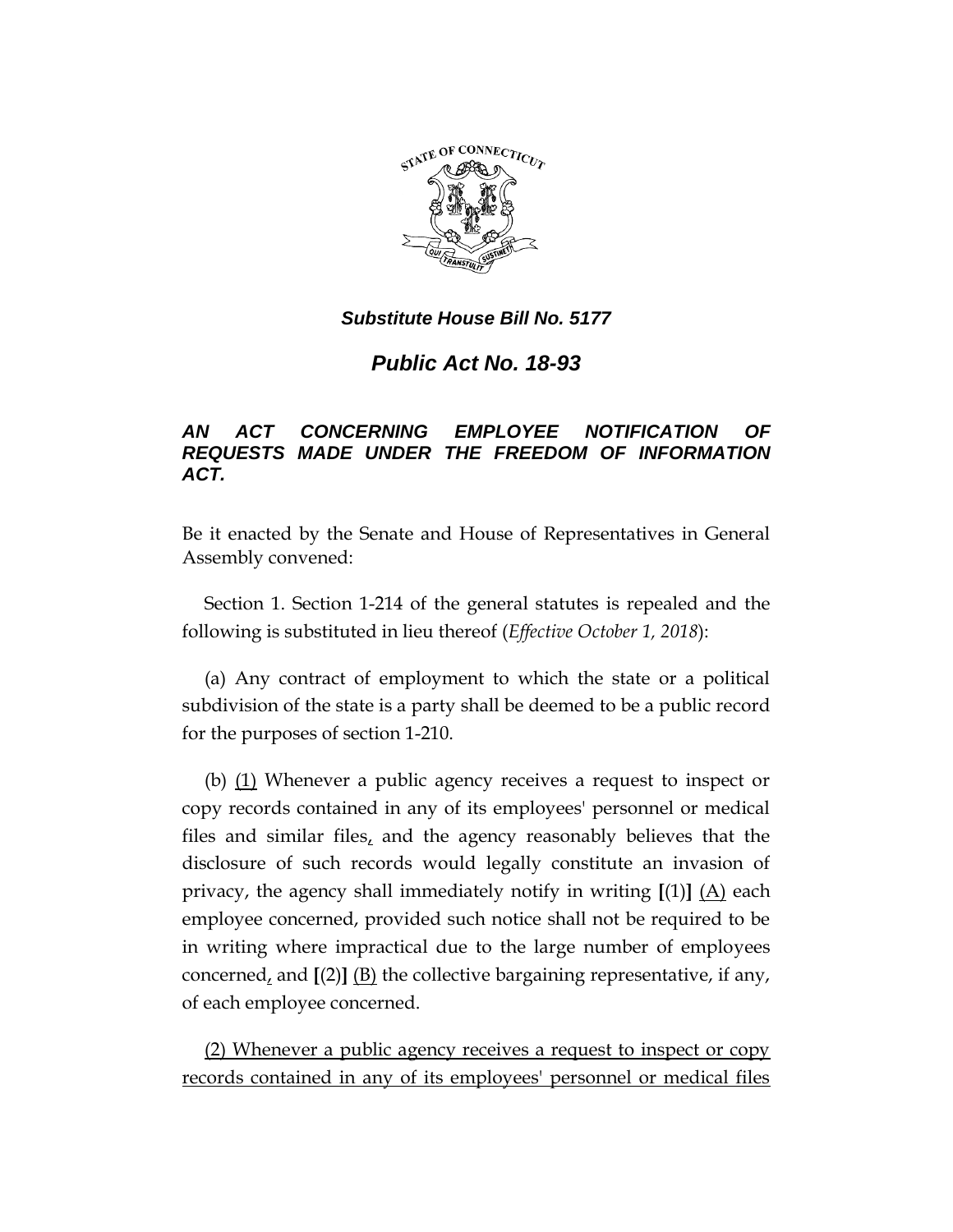

## *Substitute House Bill No. 5177*

*Public Act No. 18-93*

## *AN ACT CONCERNING EMPLOYEE NOTIFICATION OF REQUESTS MADE UNDER THE FREEDOM OF INFORMATION ACT.*

Be it enacted by the Senate and House of Representatives in General Assembly convened:

Section 1. Section 1-214 of the general statutes is repealed and the following is substituted in lieu thereof (*Effective October 1, 2018*):

(a) Any contract of employment to which the state or a political subdivision of the state is a party shall be deemed to be a public record for the purposes of section 1-210.

(b) (1) Whenever a public agency receives a request to inspect or copy records contained in any of its employees' personnel or medical files and similar files, and the agency reasonably believes that the disclosure of such records would legally constitute an invasion of privacy, the agency shall immediately notify in writing  $[(1)]$   $(A)$  each employee concerned, provided such notice shall not be required to be in writing where impractical due to the large number of employees concerned, and **[**(2)**]** (B) the collective bargaining representative, if any, of each employee concerned.

(2) Whenever a public agency receives a request to inspect or copy records contained in any of its employees' personnel or medical files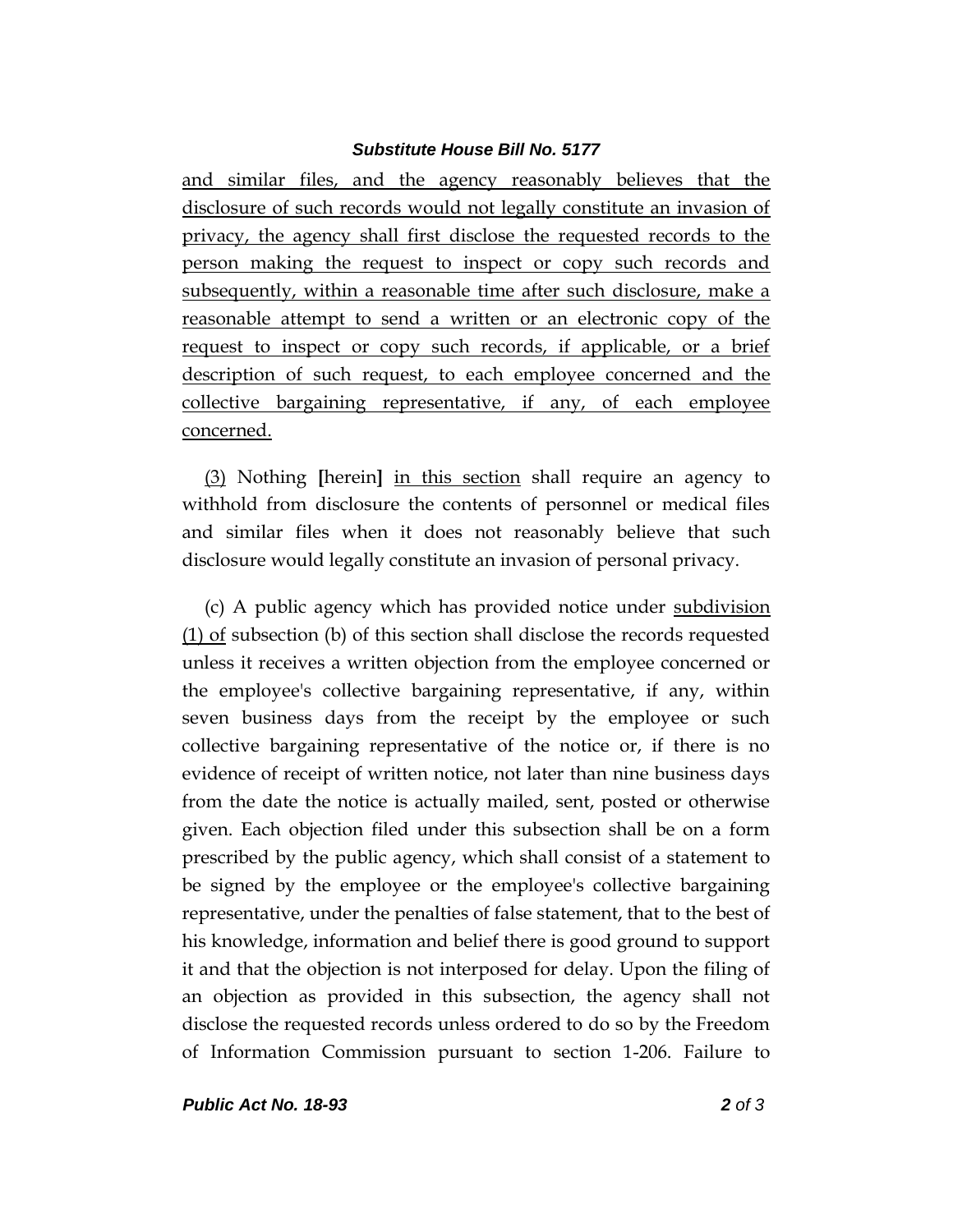## *Substitute House Bill No. 5177*

and similar files, and the agency reasonably believes that the disclosure of such records would not legally constitute an invasion of privacy, the agency shall first disclose the requested records to the person making the request to inspect or copy such records and subsequently, within a reasonable time after such disclosure, make a reasonable attempt to send a written or an electronic copy of the request to inspect or copy such records, if applicable, or a brief description of such request, to each employee concerned and the collective bargaining representative, if any, of each employee concerned.

(3) Nothing **[**herein**]** in this section shall require an agency to withhold from disclosure the contents of personnel or medical files and similar files when it does not reasonably believe that such disclosure would legally constitute an invasion of personal privacy.

(c) A public agency which has provided notice under subdivision (1) of subsection (b) of this section shall disclose the records requested unless it receives a written objection from the employee concerned or the employee's collective bargaining representative, if any, within seven business days from the receipt by the employee or such collective bargaining representative of the notice or, if there is no evidence of receipt of written notice, not later than nine business days from the date the notice is actually mailed, sent, posted or otherwise given. Each objection filed under this subsection shall be on a form prescribed by the public agency, which shall consist of a statement to be signed by the employee or the employee's collective bargaining representative, under the penalties of false statement, that to the best of his knowledge, information and belief there is good ground to support it and that the objection is not interposed for delay. Upon the filing of an objection as provided in this subsection, the agency shall not disclose the requested records unless ordered to do so by the Freedom of Information Commission pursuant to section 1-206. Failure to